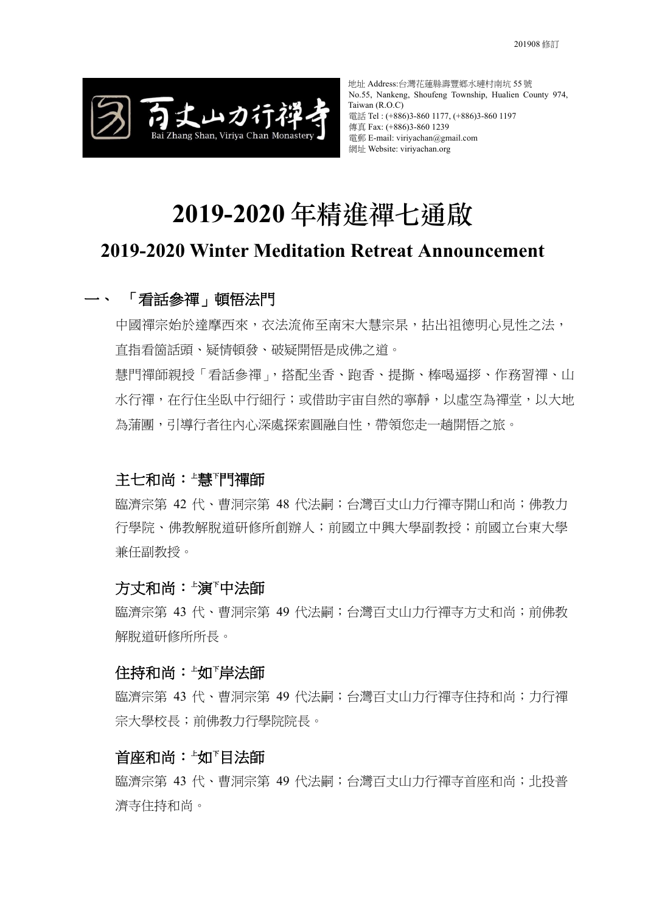

# **2019-2020 年精進禪七通啟**

## **2019-2020 Winter Meditation Retreat Announcement**

## 一、 「看話參禪」頓悟法門

中國禪宗始於達摩西來,衣法流佈至南宋大慧宗杲,拈出祖德明心見性之法, 直指看箇話頭、疑情頓發、破疑開悟是成佛之道。

慧門禪師親授「看話參禪」,搭配坐香、跑香、提撕、棒喝逼拶、作務習禪、山 水行禪,在行住坐臥中行細行;或借助宇宙自然的寧靜,以虛空為禪堂,以大地 為蒲團,引導行者往內心深處探索圓融自性,帶領您走一趟開悟之旅。

## 主七和尚:<del>「</del>慧『門禪師

臨濟宗第 42代、曹洞宗第 48代法嗣;台灣百丈山力行禪寺開山和尚;佛教力 行學院、佛教解脫道研修所創辦人;前國立中興大學副教授;前國立台東大學 兼任副教授。

#### 方丈和尚:<del>'</del>演<sup>r</sup>中法師

臨濟宗第 43 代、曹洞宗第 49 代法嗣;台灣百丈山力行禪寺方丈和尚;前佛教 解脫道研修所所長。

#### 住持和尚:<del>'</del>如'岸法師

臨濟宗第 43 代、曹洞宗第 49 代法嗣;台灣百丈山力行禪寺住持和尚;力行禪 宗大學校長;前佛教力行學院院長。

#### 首座和尚:<del>「</del>如『目法師

臨濟宗第 43 代、曹洞宗第 49 代法嗣;台灣百丈山力行禪寺首座和尚;北投普 濟寺住持和尚。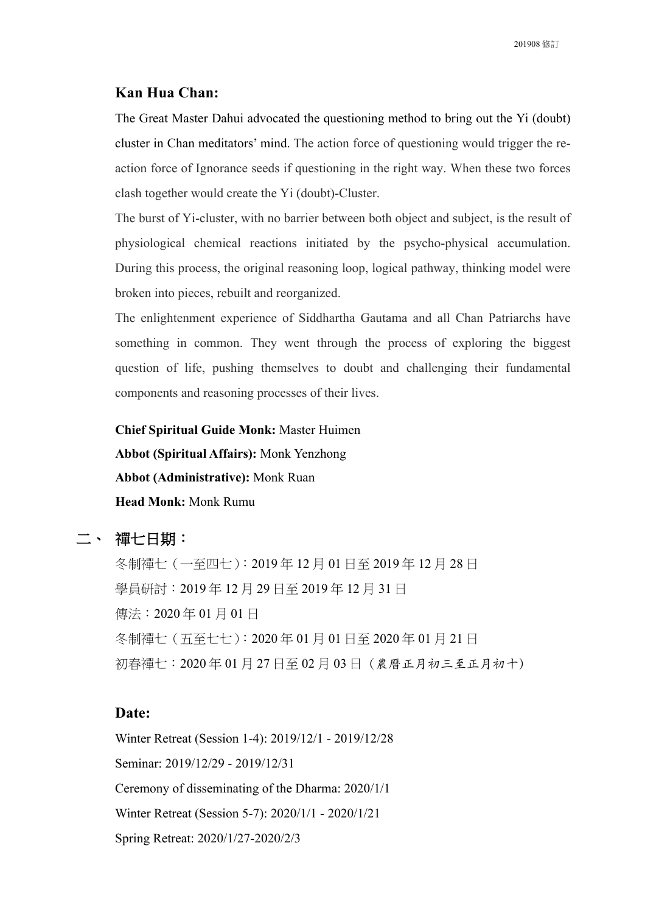#### **Kan Hua Chan:**

The Great Master Dahui advocated the questioning method to bring out the Yi (doubt) cluster in Chan meditators' mind. The action force of questioning would trigger the reaction force of Ignorance seeds if questioning in the right way. When these two forces clash together would create the Yi (doubt)-Cluster.

The burst of Yi-cluster, with no barrier between both object and subject, is the result of physiological chemical reactions initiated by the psycho-physical accumulation. During this process, the original reasoning loop, logical pathway, thinking model were broken into pieces, rebuilt and reorganized.

The enlightenment experience of Siddhartha Gautama and all Chan Patriarchs have something in common. They went through the process of exploring the biggest question of life, pushing themselves to doubt and challenging their fundamental components and reasoning processes of their lives.

**Chief Spiritual Guide Monk:** Master Huimen **Abbot (Spiritual Affairs):** Monk Yenzhong **Abbot (Administrative):** Monk Ruan **Head Monk:** Monk Rumu

## 二、 禪七日期:

冬制禪七(一至四七):2019 年 12 月 01 日至 2019 年 12 月 28 日 學員研討:2019 年 12 月 29 日至 2019 年 12 月 31 日 傳法:2020 年 01 月 01 日 冬制禪七(五至七七):2020 年 01 月 01 日至 2020 年 01 月 21 日 初春禪七: 2020年 01月 27日至 02月 03日 (農曆正月初三至正月初十)

#### **Date:**

Winter Retreat (Session 1-4): 2019/12/1 - 2019/12/28 Seminar: 2019/12/29 - 2019/12/31 Ceremony of disseminating of the Dharma: 2020/1/1 Winter Retreat (Session 5-7): 2020/1/1 - 2020/1/21 Spring Retreat: 2020/1/27-2020/2/3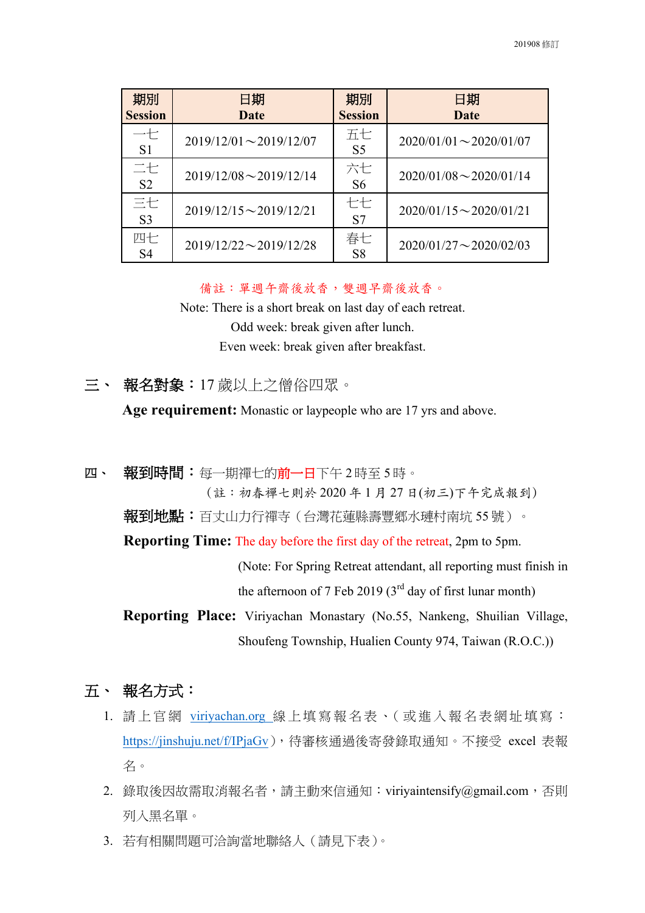| 期別<br><b>Session</b> | 日期<br>Date                   | 期別<br><b>Session</b> | 日期<br><b>Date</b>            |
|----------------------|------------------------------|----------------------|------------------------------|
| 七<br>S <sub>1</sub>  | $2019/12/01 \sim 2019/12/07$ | 五七<br>S <sub>5</sub> | $2020/01/01 \sim 2020/01/07$ |
| 二七<br>S <sub>2</sub> | $2019/12/08 \sim 2019/12/14$ | 六七<br>S <sub>6</sub> | $2020/01/08 \sim 2020/01/14$ |
| 三七<br>S <sub>3</sub> | $2019/12/15 \sim 2019/12/21$ | 七七<br>S7             | $2020/01/15 \sim 2020/01/21$ |
| 四七<br>S4             | $2019/12/22 \sim 2019/12/28$ | 春七<br>S <sub>8</sub> | $2020/01/27 \sim 2020/02/03$ |

備註:單週午齋後放香,雙週早齋後放香。

Note: There is a short break on last day of each retreat. Odd week: break given after lunch. Even week: break given after breakfast.

三、 報名對象:17 歲以上之僧俗四眾。

**Age requirement:** Monastic or laypeople who are 17 yrs and above.

四、 報到時間:每一期禪七的前一日下午2時至5時。 (註:初春禪七則於 2020 年 1 ⽉ 27 ⽇(初三)下午完成報到)

報到地點:百丈山力行禪寺(台灣花蓮縣壽豐鄉水璉村南坑 55 號)。

**Reporting Time:** The day before the first day of the retreat, 2pm to 5pm.

(Note: For Spring Retreat attendant, all reporting must finish in the afternoon of 7 Feb 2019 ( $3<sup>rd</sup>$  day of first lunar month)

**Reporting Place:** Viriyachan Monastary (No.55, Nankeng, Shuilian Village, Shoufeng Township, Hualien County 974, Taiwan (R.O.C.))

- 五、 報名方式:
	- 1. 請上官網 viriyachan.org 線上填寫報名表 、( 或進入 報名表網址 填 寫 : https://jinshuju.net/f/IPjaGv),待審核通過後寄發錄取通知。不接受 excel 表報 名。
	- 2. 錄取後因故需取消報名者,請主動來信通知: viriyaintensify@gmail.com, 否則 列入黑名單。
	- 3. 若有相關問題可洽詢當地聯絡人(請見下表)。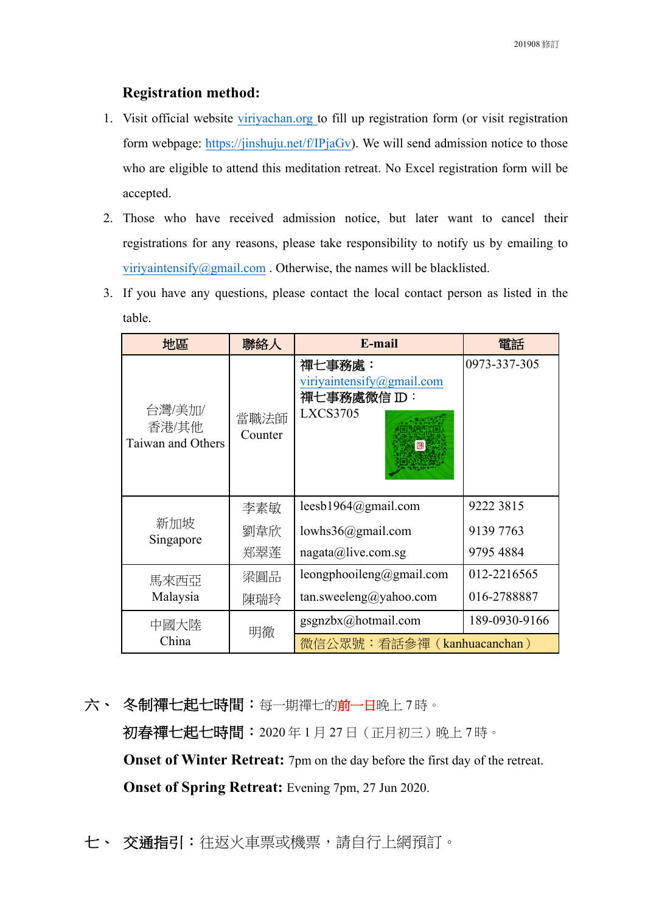## **Registration method:**

- 1. Visit official website viriyachan.org to fill up registration form (or visit registration form webpage: https://jinshuju.net/f/IPjaGv). We will send admission notice to those who are eligible to attend this meditation retreat. No Excel registration form will be accepted.
- 2. Those who have received admission notice, but later want to cancel their registrations for any reasons, please take responsibility to notify us by emailing to viriyaintensify@gmail.com . Otherwise, the names will be blacklisted.
- 3. If you have any questions, please contact the local contact person as listed in the table.

| 地區                                   | 聯絡人             | E-mail                                                                               | 電話            |
|--------------------------------------|-----------------|--------------------------------------------------------------------------------------|---------------|
| 台灣/美加/<br>香港/其他<br>Taiwan and Others | 當職法師<br>Counter | 禪七事務處:<br>viriyaintensify@gmail.com<br>禪七事務處微信 ID:<br><b>LXCS3705</b><br>$\boxed{3}$ | 0973-337-305  |
|                                      | 李素敏             | leesb1964@gmail.com                                                                  | 9222 3815     |
| 新加坡<br>Singapore                     | 劉韋欣             | lowhs36@gmail.com                                                                    | 9139 7763     |
|                                      | 郑翠莲             | nagata@live.comsg                                                                    | 9795 4884     |
| 馬來西亞                                 | 梁圓品             | leongphooileng@gmail.com                                                             | 012-2216565   |
| Malaysia                             | 陳瑞玲             | tan.sweeleng@yahoo.com                                                               | 016-2788887   |
| 中國大陸                                 |                 | gsgnzbx@hotmail.com                                                                  | 189-0930-9166 |
| China                                | 明徹              | 微信公眾號:看話參禪 (kanhuacanchan)                                                           |               |

- 六、冬制禪七起七時間:每一期禪七的前一日晚上7時。 初春禪七起七時間:2020 年 1 月 27 日(正月初三)晚上 7 時。 **Onset of Winter Retreat:** 7pm on the day before the first day of the retreat. **Onset of Spring Retreat:** Evening 7pm, 27 Jun 2020.
- 七、 交通指引:往返火車票或機票,請自行上網預訂。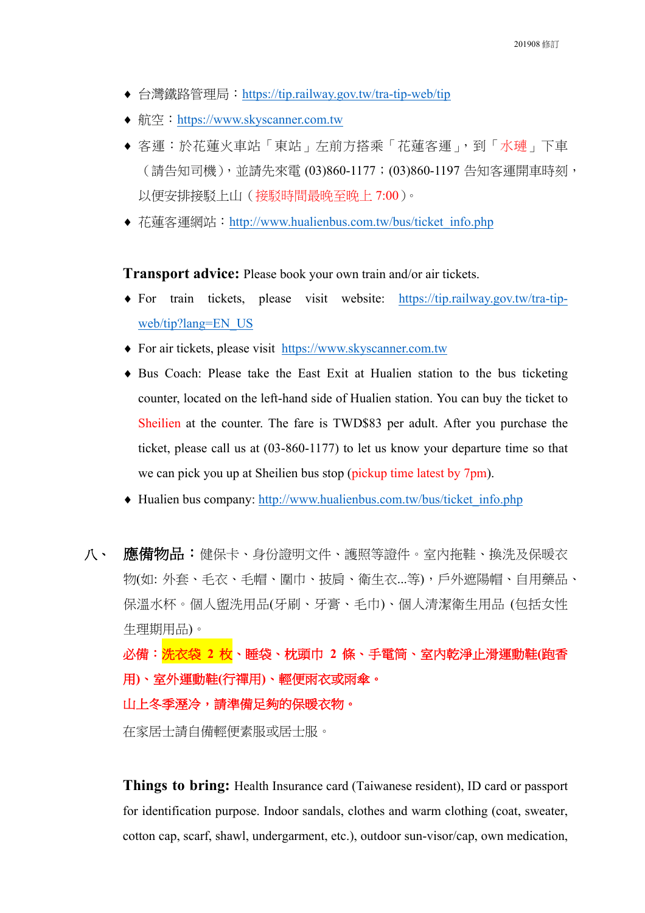- ¨ 台灣鐵路管理局:https://tip.railway.gov.tw/tra-tip-web/tip
- ◆航空: https://www.skyscanner.com.tw
- ◆ 客運:於花蓮火車站「東站」左前方搭乘「花蓮客運」,到「水璉」下車 (請告知司機),並請先來電 (03)860-1177;(03)860-1197 告知客運開車時刻, 以便安排接駁上山(接駁時間最晚至晚上 7:00)。
- ◆ 花蓮客運網站: http://www.hualienbus.com.tw/bus/ticket\_info.php

**Transport advice:** Please book your own train and/or air tickets.

- For train tickets, please visit website: https://tip.railway.gov.tw/tra-tipweb/tip?lang=EN\_US
- For air tickets, please visit https://www.skyscanner.com.tw
- $\bullet$  Bus Coach: Please take the East Exit at Hualien station to the bus ticketing counter, located on the left-hand side of Hualien station. You can buy the ticket to Sheilien at the counter. The fare is TWD\$83 per adult. After you purchase the ticket, please call us at (03-860-1177) to let us know your departure time so that we can pick you up at Sheilien bus stop (pickup time latest by 7pm).
- $\bullet$  Hualien bus company: http://www.hualienbus.com.tw/bus/ticket\_info.php
- 八、 應備物品:健保卡、身份證明文件、護照等證件。室內拖鞋、換洗及保暖衣 物(如: 外套、毛衣、毛帽、圍巾、披肩、衛生衣...等),戶外遮陽帽、自用藥品、 保溫水杯。個人盥洗用品(牙刷、牙膏、毛巾)、個人清潔衛生用品 (包括女性 生理期用品)。 必備:洗衣袋 **2** 枚、睡袋、枕頭巾 **2** 條、手電筒、室內乾淨止滑運動鞋**(**跑香

用**)**、室外運動鞋**(**行禪用**)**、輕便雨衣或雨傘。

山上冬季溼冷,請準備足夠的保暖衣物。

在家居士請自備輕便素服或居士服。

**Things to bring:** Health Insurance card (Taiwanese resident), ID card or passport for identification purpose. Indoor sandals, clothes and warm clothing (coat, sweater, cotton cap, scarf, shawl, undergarment, etc.), outdoor sun-visor/cap, own medication,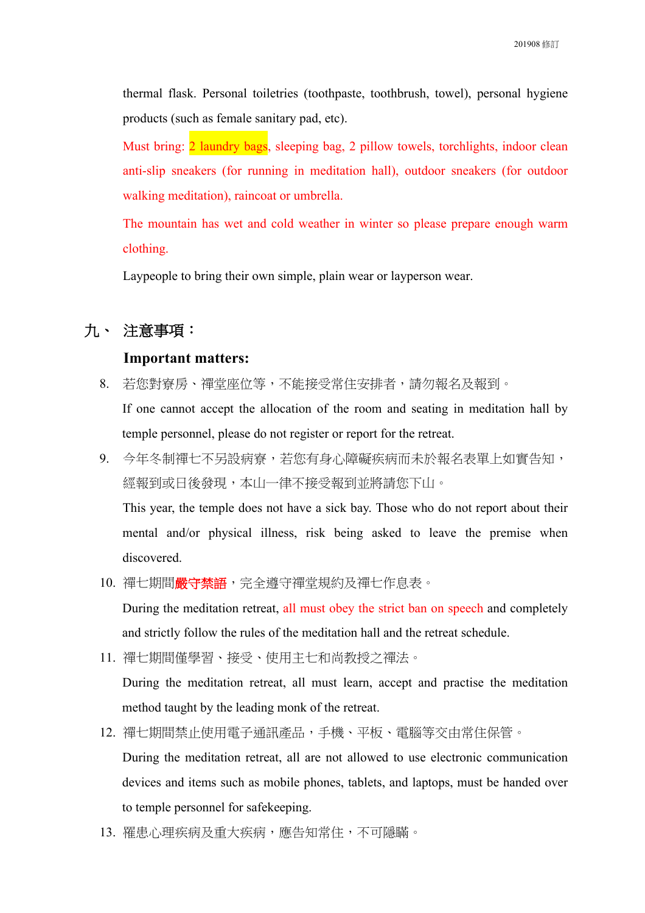thermal flask. Personal toiletries (toothpaste, toothbrush, towel), personal hygiene products (such as female sanitary pad, etc).

Must bring: 2 laundry bags, sleeping bag, 2 pillow towels, torchlights, indoor clean anti-slip sneakers (for running in meditation hall), outdoor sneakers (for outdoor walking meditation), raincoat or umbrella.

The mountain has wet and cold weather in winter so please prepare enough warm clothing.

Laypeople to bring their own simple, plain wear or layperson wear.

### 九、 注意事項:

#### **Important matters:**

- 8. 若您對寮房、禪堂座位等,不能接受常住安排者,請勿報名及報到。 If one cannot accept the allocation of the room and seating in meditation hall by temple personnel, please do not register or report for the retreat.
- 9. 今年冬制禪七不另設病寮,若您有身心障礙疾病而未於報名表單上如實告知, 經報到或日後發現,本山一律不接受報到並將請您下山。

This year, the temple does not have a sick bay. Those who do not report about their mental and/or physical illness, risk being asked to leave the premise when discovered.

10. 禪七期間**嚴守禁語**,完全遵守禪堂規約及禪七作息表。

During the meditation retreat, all must obey the strict ban on speech and completely and strictly follow the rules of the meditation hall and the retreat schedule.

11. 禪七期間僅學習、接受、使用主七和尚教授之禪法。

During the meditation retreat, all must learn, accept and practise the meditation method taught by the leading monk of the retreat.

- 12. 禪七期間禁止使用電子通訊產品,手機、平板、電腦等交由常住保管。 During the meditation retreat, all are not allowed to use electronic communication devices and items such as mobile phones, tablets, and laptops, must be handed over to temple personnel for safekeeping.
- 13. 罹患心理疾病及重大疾病,應告知常住,不可隱瞞。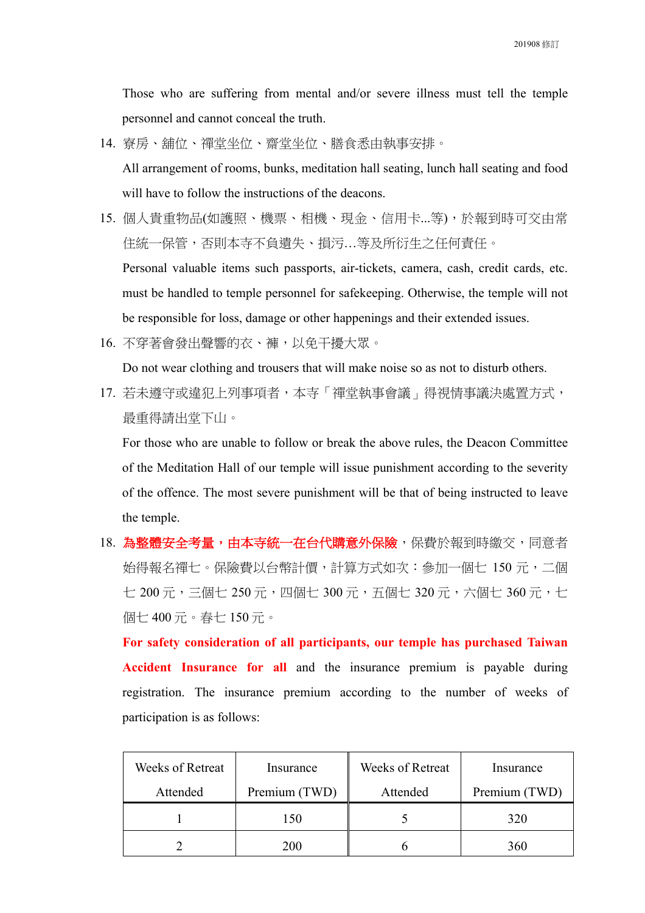Those who are suffering from mental and/or severe illness must tell the temple personnel and cannot conceal the truth.

- 14. 寮房、舖位、禪堂坐位、齋堂坐位、膳食悉由執事安排。 All arrangement of rooms, bunks, meditation hall seating, lunch hall seating and food will have to follow the instructions of the deacons.
- 15. 個人貴重物品(如護照、機票、相機、現金、信用卡...等),於報到時可交由常 住統一保管,否則本寺不負遺失、損污…等及所衍生之任何責任。 Personal valuable items such passports, air-tickets, camera, cash, credit cards, etc. must be handled to temple personnel for safekeeping. Otherwise, the temple will not be responsible for loss, damage or other happenings and their extended issues.
- 16. 不穿著會發出聲響的衣、褲,以免干擾大眾。

Do not wear clothing and trousers that will make noise so as not to disturb others.

17. 若未遵守或違犯上列事項者,本寺「禪堂執事會議」得視情事議決處置方式, 最重得請出堂下山。

For those who are unable to follow or break the above rules, the Deacon Committee of the Meditation Hall of our temple will issue punishment according to the severity of the offence. The most severe punishment will be that of being instructed to leave the temple.

18. 為整體安全考量,由本寺統一在台代購意外保險,保費於報到時繳交,同意者 始得報名禪七。保險費以台幣計價,計算方式如次:參加一個七 150 元,二個 七 200 元,三個七 250 元,四個七 300 元,五個七 320 元,六個七 360 元,七 個七 400 元。春七 150 元。

**For safety consideration of all participants, our temple has purchased Taiwan Accident Insurance for all** and the insurance premium is payable during registration. The insurance premium according to the number of weeks of participation is as follows:

| Weeks of Retreat | Insurance     | Weeks of Retreat | Insurance     |
|------------------|---------------|------------------|---------------|
| Attended         | Premium (TWD) | Attended         | Premium (TWD) |
|                  | 150           |                  | 320           |
|                  | 200           |                  | 360           |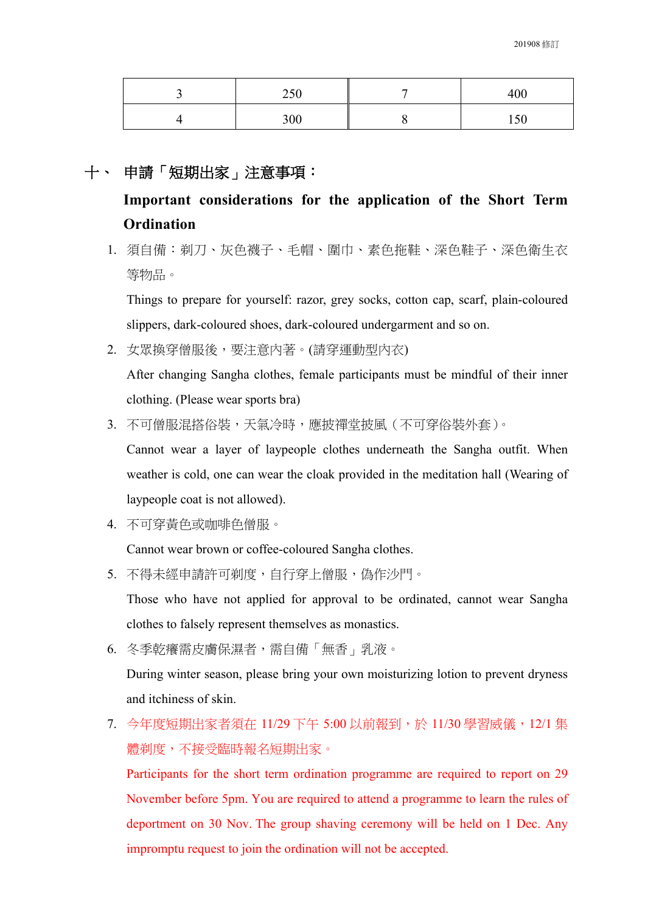| 250 | 400 |
|-----|-----|
| 300 | 150 |

## 十、 申請「短期出家」注意事項:

**Important considerations for the application of the Short Term Ordination**

1. 須自備:剃刀、灰色襪子、毛帽、圍巾、素色拖鞋、深色鞋子、深色衛生衣 等物品。

Things to prepare for yourself: razor, grey socks, cotton cap, scarf, plain-coloured slippers, dark-coloured shoes, dark-coloured undergarment and so on.

2. 女眾換穿僧服後,要注意內著。(請穿運動型內衣)

After changing Sangha clothes, female participants must be mindful of their inner clothing. (Please wear sports bra)

3. 不可僧服混搭俗裝,天氣冷時,應披禪堂披風(不可穿俗裝外套)。

Cannot wear a layer of laypeople clothes underneath the Sangha outfit. When weather is cold, one can wear the cloak provided in the meditation hall (Wearing of laypeople coat is not allowed).

4. 不可穿黃色或咖啡色僧服。

Cannot wear brown or coffee-coloured Sangha clothes.

5. 不得未經申請許可剃度,自行穿上僧服,偽作沙門。

Those who have not applied for approval to be ordinated, cannot wear Sangha clothes to falsely represent themselves as monastics.

6. 冬季乾癢需皮膚保濕者,需自備「無香」乳液。

During winter season, please bring your own moisturizing lotion to prevent dryness and itchiness of skin.

7. 今年度短期出家者須在 11/29 下午 5:00 以前報到,於 11/30 學習威儀,12/1 集 體剃度,不接受臨時報名短期出家。

Participants for the short term ordination programme are required to report on 29 November before 5pm. You are required to attend a programme to learn the rules of deportment on 30 Nov. The group shaving ceremony will be held on 1 Dec. Any impromptu request to join the ordination will not be accepted.